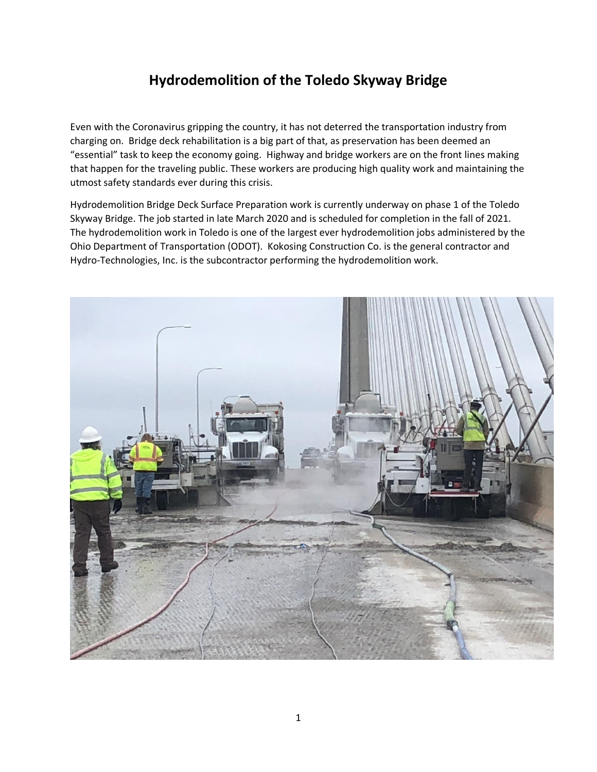## **Hydrodemolition of the Toledo Skyway Bridge**

Even with the Coronavirus gripping the country, it has not deterred the transportation industry from charging on. Bridge deck rehabilitation is a big part of that, as preservation has been deemed an "essential" task to keep the economy going. Highway and bridge workers are on the front lines making that happen for the traveling public. These workers are producing high quality work and maintaining the utmost safety standards ever during this crisis.

Hydrodemolition Bridge Deck Surface Preparation work is currently underway on phase 1 of the Toledo Skyway Bridge. The job started in late March 2020 and is scheduled for completion in the fall of 2021. The hydrodemolition work in Toledo is one of the largest ever hydrodemolition jobs administered by the Ohio Department of Transportation (ODOT). Kokosing Construction Co. is the general contractor and Hydro-Technologies, Inc. is the subcontractor performing the hydrodemolition work.

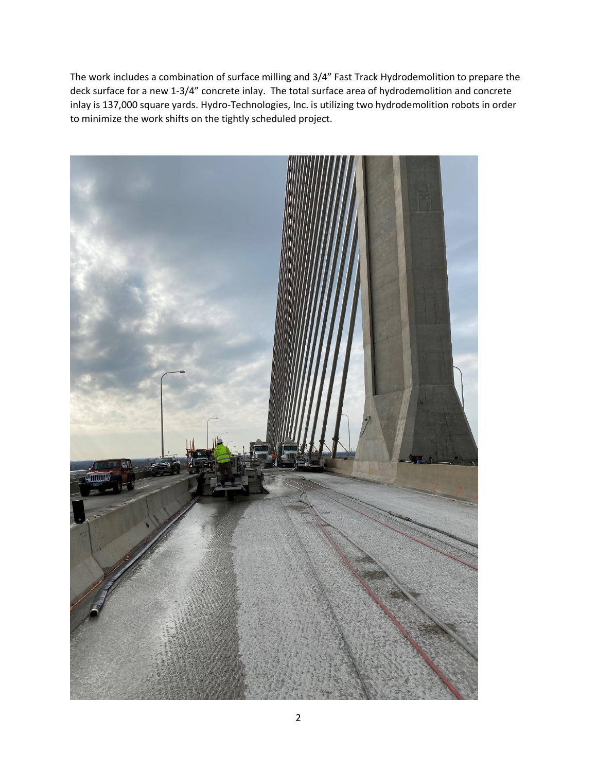The work includes a combination of surface milling and 3/4" Fast Track Hydrodemolition to prepare the deck surface for a new 1-3/4" concrete inlay. The total surface area of hydrodemolition and concrete inlay is 137,000 square yards. Hydro-Technologies, Inc. is utilizing two hydrodemolition robots in order to minimize the work shifts on the tightly scheduled project.